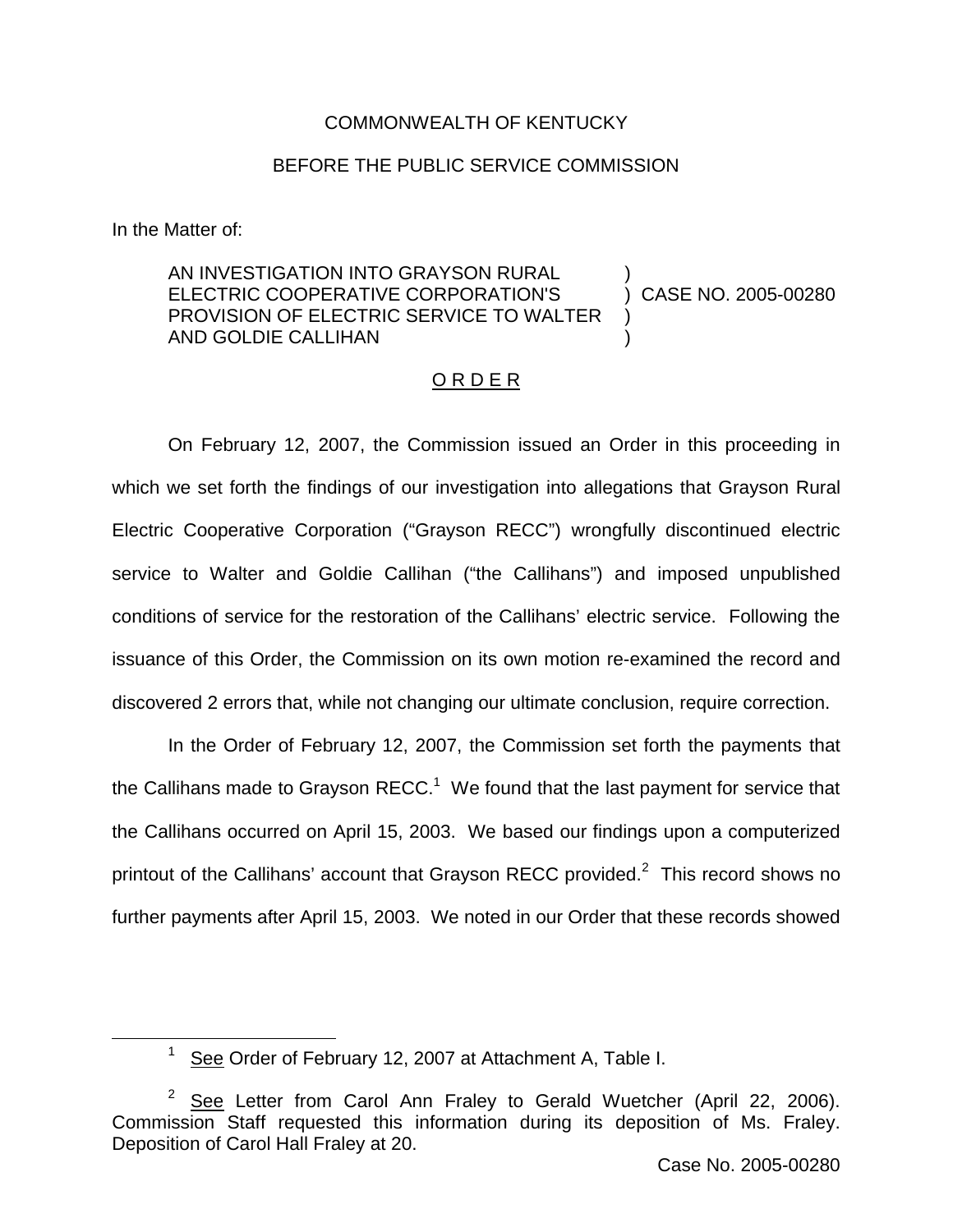# COMMONWEALTH OF KENTUCKY

# BEFORE THE PUBLIC SERVICE COMMISSION

In the Matter of:

#### AN INVESTIGATION INTO GRAYSON RURAL ELECTRIC COOPERATIVE CORPORATION'S PROVISION OF ELECTRIC SERVICE TO WALTER AND GOLDIE CALLIHAN ) ) CASE NO. 2005-00280 ) )

### O R D E R

On February 12, 2007, the Commission issued an Order in this proceeding in which we set forth the findings of our investigation into allegations that Grayson Rural Electric Cooperative Corporation ("Grayson RECC") wrongfully discontinued electric service to Walter and Goldie Callihan ("the Callihans") and imposed unpublished conditions of service for the restoration of the Callihans' electric service. Following the issuance of this Order, the Commission on its own motion re-examined the record and discovered 2 errors that, while not changing our ultimate conclusion, require correction.

In the Order of February 12, 2007, the Commission set forth the payments that the Callihans made to Grayson  $RECC<sup>1</sup>$  We found that the last payment for service that the Callihans occurred on April 15, 2003. We based our findings upon a computerized printout of the Callihans' account that Grayson RECC provided.<sup>2</sup> This record shows no further payments after April 15, 2003. We noted in our Order that these records showed

 $1$  See Order of February 12, 2007 at Attachment A, Table I.

 $2^2$  See Letter from Carol Ann Fraley to Gerald Wuetcher (April 22, 2006). Commission Staff requested this information during its deposition of Ms. Fraley. Deposition of Carol Hall Fraley at 20.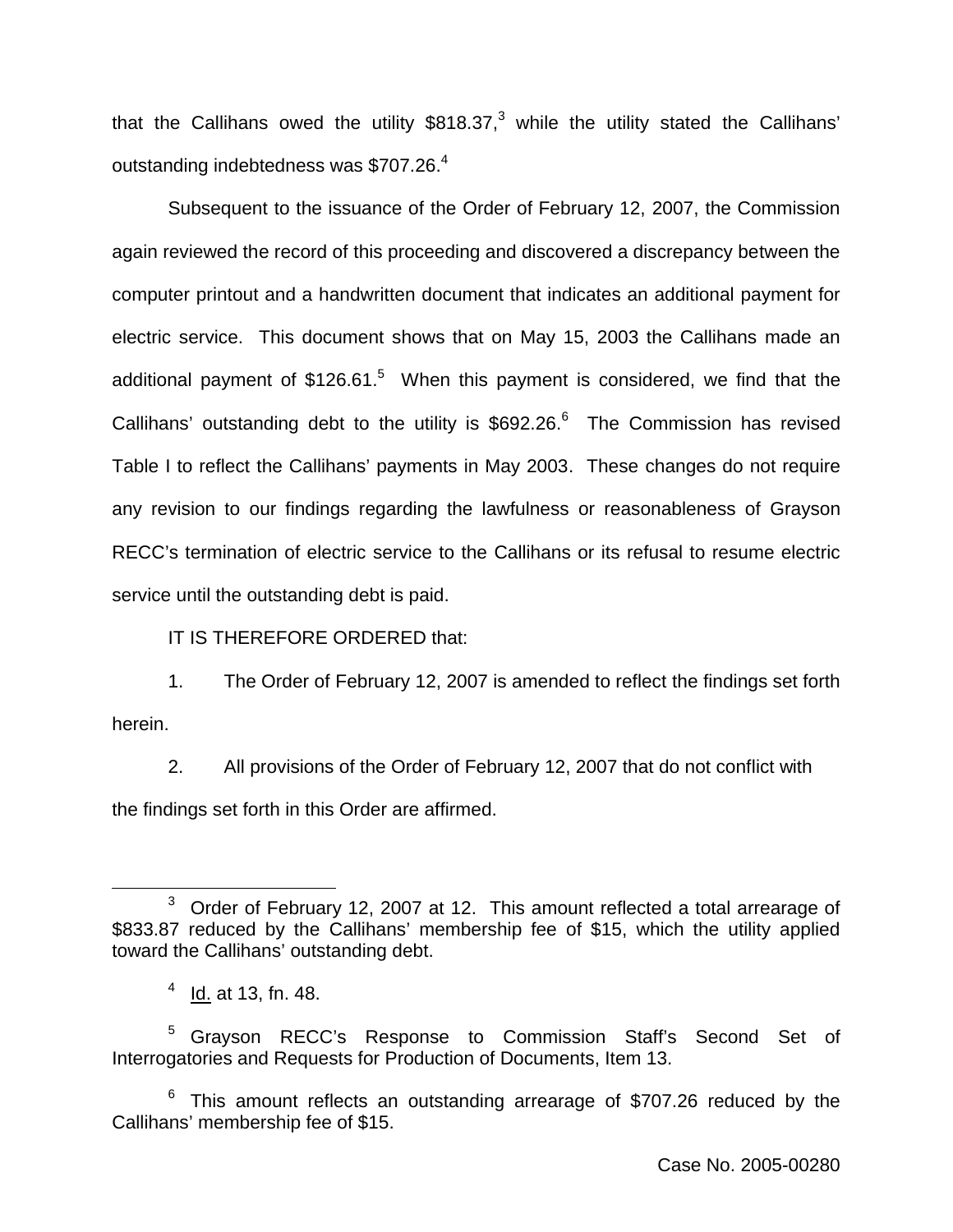that the Callihans owed the utility  $$818.37<sup>3</sup>$  while the utility stated the Callihans' outstanding indebtedness was \$707.26.<sup>4</sup>

Subsequent to the issuance of the Order of February 12, 2007, the Commission again reviewed the record of this proceeding and discovered a discrepancy between the computer printout and a handwritten document that indicates an additional payment for electric service. This document shows that on May 15, 2003 the Callihans made an additional payment of  $$126.61<sup>5</sup>$  When this payment is considered, we find that the Callihans' outstanding debt to the utility is  $$692.26<sup>6</sup>$  The Commission has revised Table I to reflect the Callihans' payments in May 2003. These changes do not require any revision to our findings regarding the lawfulness or reasonableness of Grayson RECC's termination of electric service to the Callihans or its refusal to resume electric service until the outstanding debt is paid.

IT IS THEREFORE ORDERED that:

1. The Order of February 12, 2007 is amended to reflect the findings set forth herein.

2. All provisions of the Order of February 12, 2007 that do not conflict with the findings set forth in this Order are affirmed.

<sup>5</sup> Grayson RECC's Response to Commission Staff's Second Set of Interrogatories and Requests for Production of Documents, Item 13.

 $6$  This amount reflects an outstanding arrearage of \$707.26 reduced by the Callihans' membership fee of \$15.

<sup>&</sup>lt;sup>3</sup> Order of February 12, 2007 at 12. This amount reflected a total arrearage of \$833.87 reduced by the Callihans' membership fee of \$15, which the utility applied toward the Callihans' outstanding debt.

 $4$  Id. at 13, fn. 48.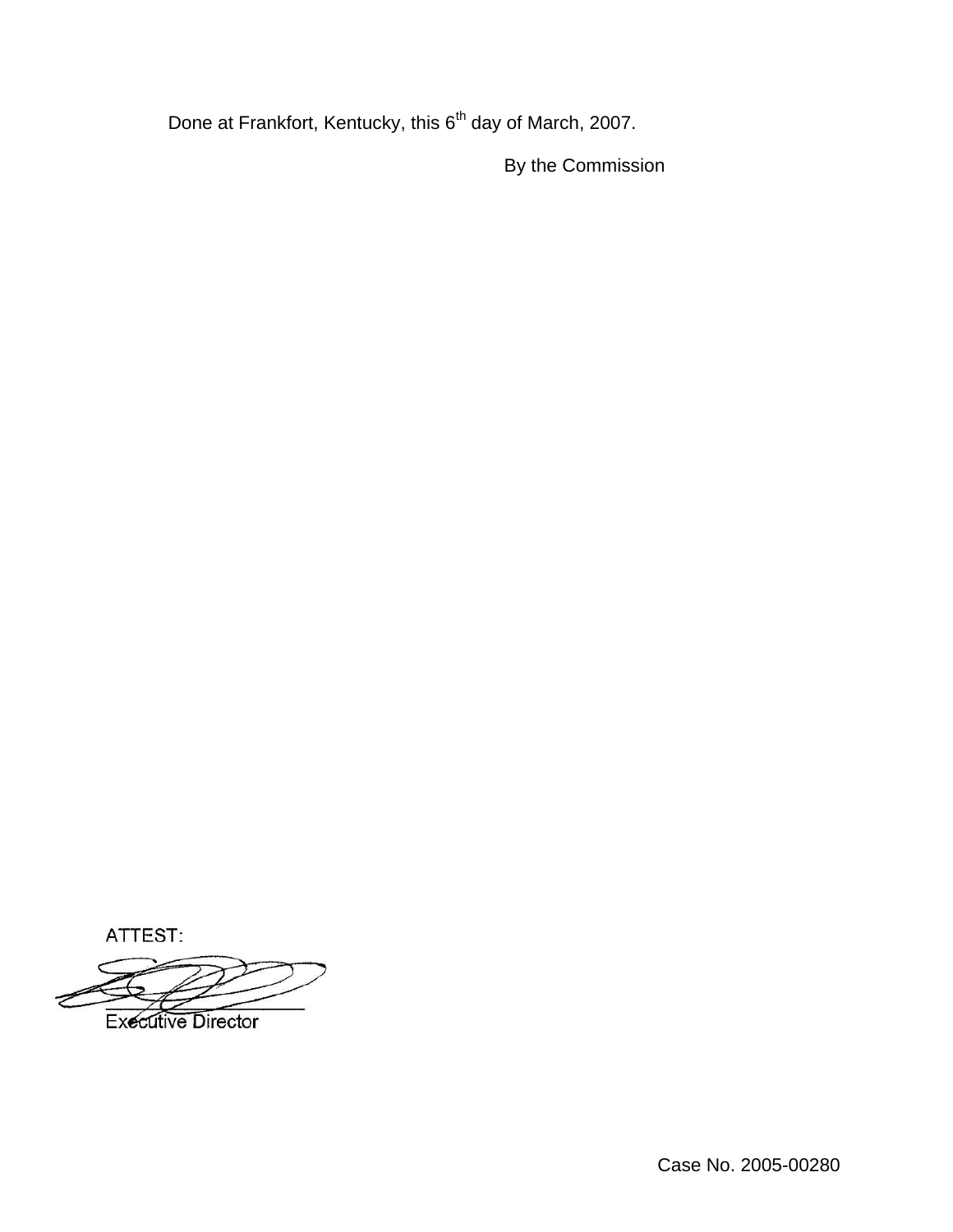Done at Frankfort, Kentucky, this 6<sup>th</sup> day of March, 2007.

By the Commission

ATTEST:

**Executive Director** 

Case No. 2005-00280